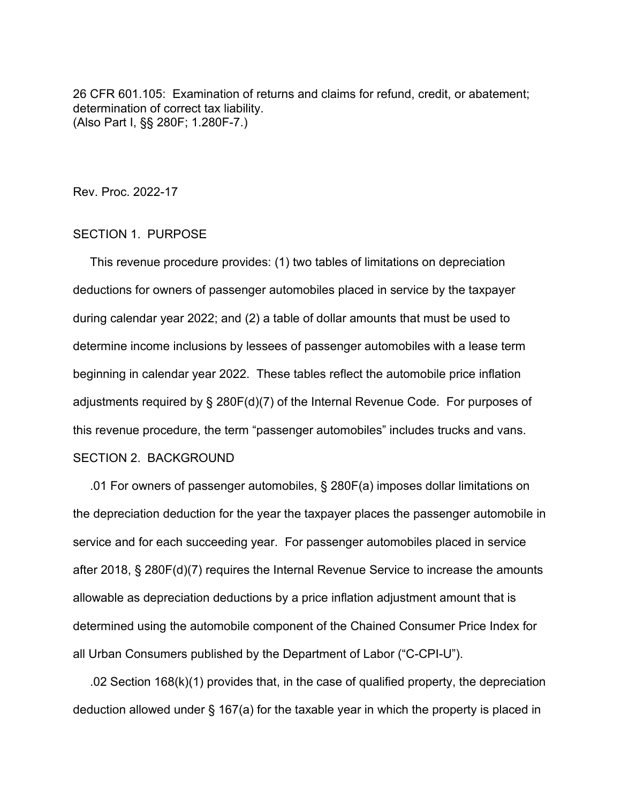26 CFR 601.105: Examination of returns and claims for refund, credit, or abatement; determination of correct tax liability. (Also Part I, §§ 280F; 1.280F-7.)

Rev. Proc. 2022-17

#### SECTION 1. PURPOSE

 This revenue procedure provides: (1) two tables of limitations on depreciation deductions for owners of passenger automobiles placed in service by the taxpayer during calendar year 2022; and (2) a table of dollar amounts that must be used to determine income inclusions by lessees of passenger automobiles with a lease term beginning in calendar year 2022. These tables reflect the automobile price inflation adjustments required by § 280F(d)(7) of the Internal Revenue Code. For purposes of this revenue procedure, the term "passenger automobiles" includes trucks and vans. SECTION 2. BACKGROUND

 .01 For owners of passenger automobiles, § 280F(a) imposes dollar limitations on the depreciation deduction for the year the taxpayer places the passenger automobile in service and for each succeeding year. For passenger automobiles placed in service after 2018, § 280F(d)(7) requires the Internal Revenue Service to increase the amounts allowable as depreciation deductions by a price inflation adjustment amount that is determined using the automobile component of the Chained Consumer Price Index for all Urban Consumers published by the Department of Labor ("C-CPI-U").

 .02 Section 168(k)(1) provides that, in the case of qualified property, the depreciation deduction allowed under § 167(a) for the taxable year in which the property is placed in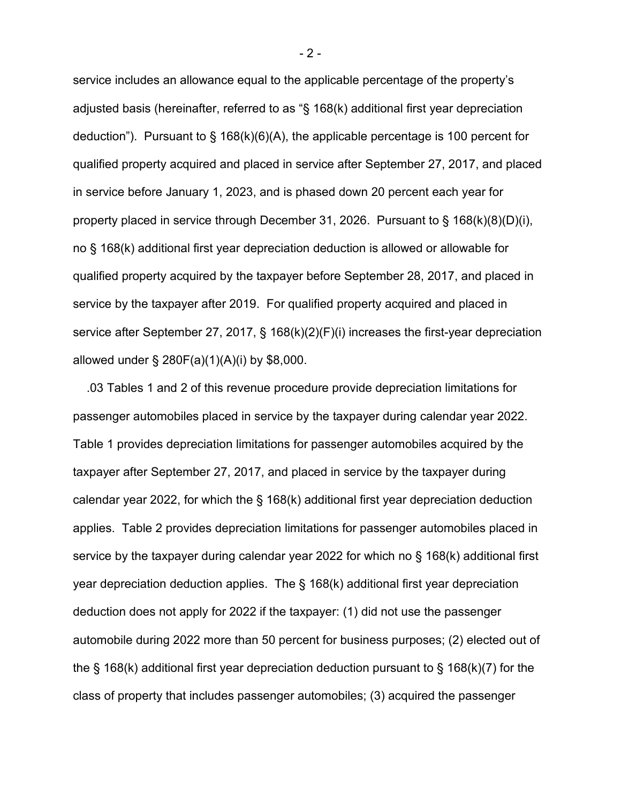service includes an allowance equal to the applicable percentage of the property's adjusted basis (hereinafter, referred to as "§ 168(k) additional first year depreciation deduction"). Pursuant to § 168(k)(6)(A), the applicable percentage is 100 percent for qualified property acquired and placed in service after September 27, 2017, and placed in service before January 1, 2023, and is phased down 20 percent each year for property placed in service through December 31, 2026. Pursuant to  $\S$  168(k)(8)(D)(i), no § 168(k) additional first year depreciation deduction is allowed or allowable for qualified property acquired by the taxpayer before September 28, 2017, and placed in service by the taxpayer after 2019. For qualified property acquired and placed in service after September 27, 2017, § 168(k)(2)(F)(i) increases the first-year depreciation allowed under § 280F(a)(1)(A)(i) by \$8,000.

 .03 Tables 1 and 2 of this revenue procedure provide depreciation limitations for passenger automobiles placed in service by the taxpayer during calendar year 2022. Table 1 provides depreciation limitations for passenger automobiles acquired by the taxpayer after September 27, 2017, and placed in service by the taxpayer during calendar year 2022, for which the § 168(k) additional first year depreciation deduction applies. Table 2 provides depreciation limitations for passenger automobiles placed in service by the taxpayer during calendar year 2022 for which no § 168(k) additional first year depreciation deduction applies. The § 168(k) additional first year depreciation deduction does not apply for 2022 if the taxpayer: (1) did not use the passenger automobile during 2022 more than 50 percent for business purposes; (2) elected out of the § 168(k) additional first year depreciation deduction pursuant to § 168(k)(7) for the class of property that includes passenger automobiles; (3) acquired the passenger

- 2 -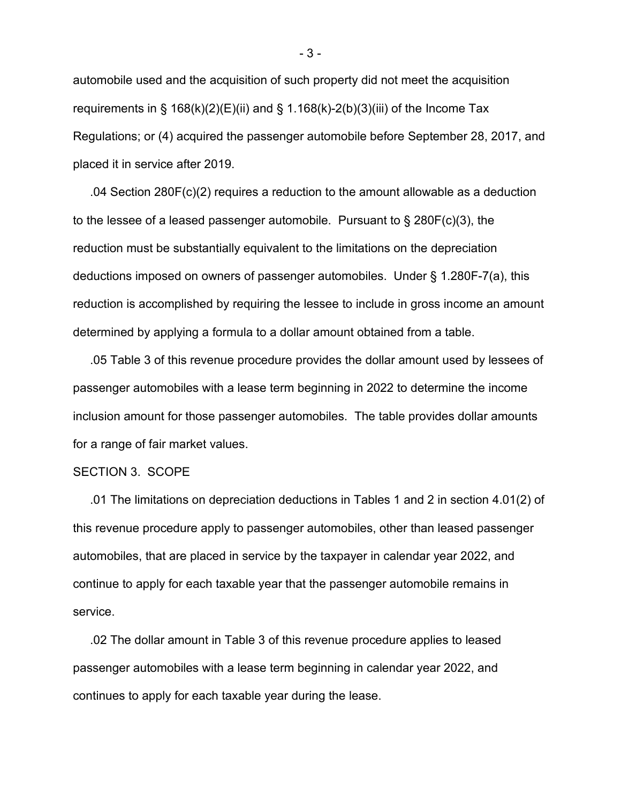automobile used and the acquisition of such property did not meet the acquisition requirements in § 168(k)(2)(E)(ii) and § 1.168(k)-2(b)(3)(iii) of the Income Tax Regulations; or (4) acquired the passenger automobile before September 28, 2017, and placed it in service after 2019.

 .04 Section 280F(c)(2) requires a reduction to the amount allowable as a deduction to the lessee of a leased passenger automobile. Pursuant to  $\S$  280F(c)(3), the reduction must be substantially equivalent to the limitations on the depreciation deductions imposed on owners of passenger automobiles. Under § 1.280F-7(a), this reduction is accomplished by requiring the lessee to include in gross income an amount determined by applying a formula to a dollar amount obtained from a table.

 .05 Table 3 of this revenue procedure provides the dollar amount used by lessees of passenger automobiles with a lease term beginning in 2022 to determine the income inclusion amount for those passenger automobiles. The table provides dollar amounts for a range of fair market values.

#### SECTION 3. SCOPE

 .01 The limitations on depreciation deductions in Tables 1 and 2 in section 4.01(2) of this revenue procedure apply to passenger automobiles, other than leased passenger automobiles, that are placed in service by the taxpayer in calendar year 2022, and continue to apply for each taxable year that the passenger automobile remains in service.

 .02 The dollar amount in Table 3 of this revenue procedure applies to leased passenger automobiles with a lease term beginning in calendar year 2022, and continues to apply for each taxable year during the lease.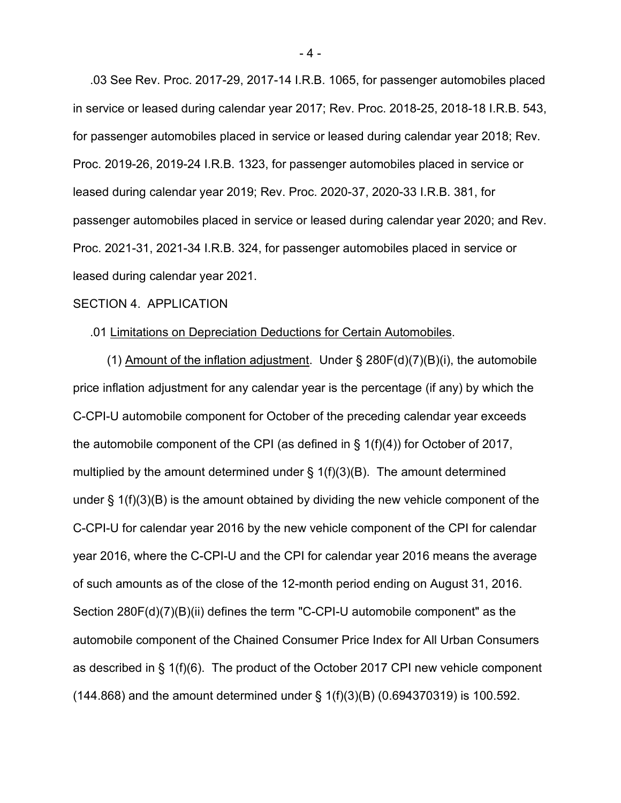.03 See Rev. Proc. 2017-29, 2017-14 I.R.B. 1065, for passenger automobiles placed in service or leased during calendar year 2017; Rev. Proc. 2018-25, 2018-18 I.R.B. 543, for passenger automobiles placed in service or leased during calendar year 2018; Rev. Proc. 2019-26, 2019-24 I.R.B. 1323, for passenger automobiles placed in service or leased during calendar year 2019; Rev. Proc. 2020-37, 2020-33 I.R.B. 381, for passenger automobiles placed in service or leased during calendar year 2020; and Rev. Proc. 2021-31, 2021-34 I.R.B. 324, for passenger automobiles placed in service or leased during calendar year 2021.

#### SECTION 4. APPLICATION

#### .01 Limitations on Depreciation Deductions for Certain Automobiles.

(1) Amount of the inflation adjustment. Under  $\S$  280F(d)(7)(B)(i), the automobile price inflation adjustment for any calendar year is the percentage (if any) by which the C-CPI-U automobile component for October of the preceding calendar year exceeds the automobile component of the CPI (as defined in § 1(f)(4)) for October of 2017, multiplied by the amount determined under  $\S 1(f)(3)(B)$ . The amount determined under  $\S 1(f)(3)(B)$  is the amount obtained by dividing the new vehicle component of the C-CPI-U for calendar year 2016 by the new vehicle component of the CPI for calendar year 2016, where the C-CPI-U and the CPI for calendar year 2016 means the average of such amounts as of the close of the 12-month period ending on August 31, 2016. Section 280F(d)(7)(B)(ii) defines the term "C-CPI-U automobile component" as the automobile component of the Chained Consumer Price Index for All Urban Consumers as described in § 1(f)(6). The product of the October 2017 CPI new vehicle component (144.868) and the amount determined under § 1(f)(3)(B) (0.694370319) is 100.592.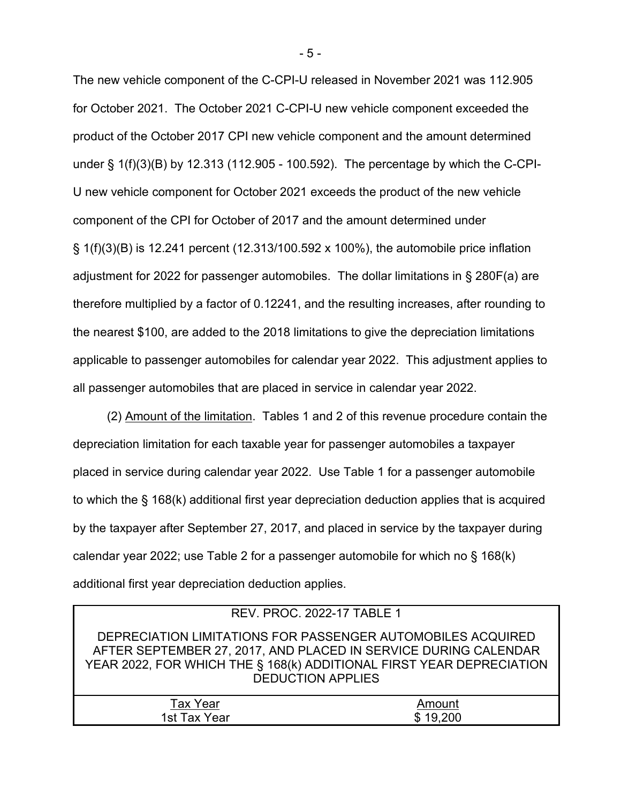The new vehicle component of the C-CPI-U released in November 2021 was 112.905 for October 2021. The October 2021 C-CPI-U new vehicle component exceeded the product of the October 2017 CPI new vehicle component and the amount determined under § 1(f)(3)(B) by 12.313 (112.905 - 100.592). The percentage by which the C-CPI-U new vehicle component for October 2021 exceeds the product of the new vehicle component of the CPI for October of 2017 and the amount determined under § 1(f)(3)(B) is 12.241 percent (12.313/100.592 x 100%), the automobile price inflation adjustment for 2022 for passenger automobiles. The dollar limitations in § 280F(a) are therefore multiplied by a factor of 0.12241, and the resulting increases, after rounding to the nearest \$100, are added to the 2018 limitations to give the depreciation limitations applicable to passenger automobiles for calendar year 2022. This adjustment applies to all passenger automobiles that are placed in service in calendar year 2022.

 (2) Amount of the limitation. Tables 1 and 2 of this revenue procedure contain the depreciation limitation for each taxable year for passenger automobiles a taxpayer placed in service during calendar year 2022. Use Table 1 for a passenger automobile to which the § 168(k) additional first year depreciation deduction applies that is acquired by the taxpayer after September 27, 2017, and placed in service by the taxpayer during calendar year 2022; use Table 2 for a passenger automobile for which no § 168(k) additional first year depreciation deduction applies.

| REV. PROC. 2022-17 TABLE 1                                                                                                                                                                                                         |          |  |  |  |  |
|------------------------------------------------------------------------------------------------------------------------------------------------------------------------------------------------------------------------------------|----------|--|--|--|--|
| DEPRECIATION LIMITATIONS FOR PASSENGER AUTOMOBILES ACQUIRED<br>AFTER SEPTEMBER 27, 2017, AND PLACED IN SERVICE DURING CALENDAR<br>YEAR 2022, FOR WHICH THE § 168(k) ADDITIONAL FIRST YEAR DEPRECIATION<br><b>DEDUCTION APPLIES</b> |          |  |  |  |  |
| <b>Tax Year</b>                                                                                                                                                                                                                    | Amount   |  |  |  |  |
| 1st Tax Year                                                                                                                                                                                                                       | \$19,200 |  |  |  |  |

- 5 -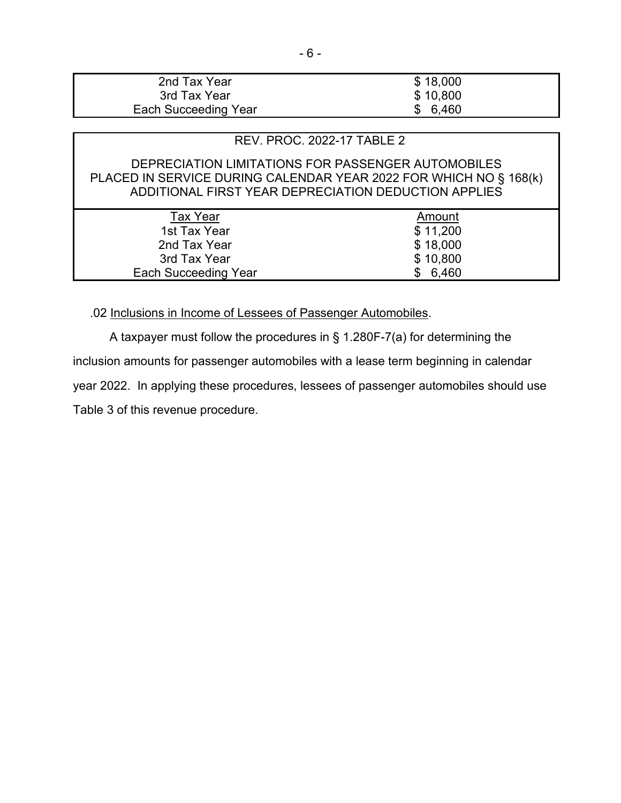| 2nd Tax Year                | \$18,000 |
|-----------------------------|----------|
| 3rd Tax Year                | \$10,800 |
| <b>Each Succeeding Year</b> | \$6,460  |

## REV. PROC. 2022-17 TABLE 2

## DEPRECIATION LIMITATIONS FOR PASSENGER AUTOMOBILES PLACED IN SERVICE DURING CALENDAR YEAR 2022 FOR WHICH NO § 168(k) ADDITIONAL FIRST YEAR DEPRECIATION DEDUCTION APPLIES

| Tax Year                    | Amount   |
|-----------------------------|----------|
| 1st Tax Year                | \$11,200 |
| 2nd Tax Year                | \$18,000 |
| 3rd Tax Year                | \$10,800 |
| <b>Each Succeeding Year</b> | \$6,460  |
|                             |          |

.02 Inclusions in Income of Lessees of Passenger Automobiles.

A taxpayer must follow the procedures in § 1.280F-7(a) for determining the inclusion amounts for passenger automobiles with a lease term beginning in calendar year 2022. In applying these procedures, lessees of passenger automobiles should use Table 3 of this revenue procedure.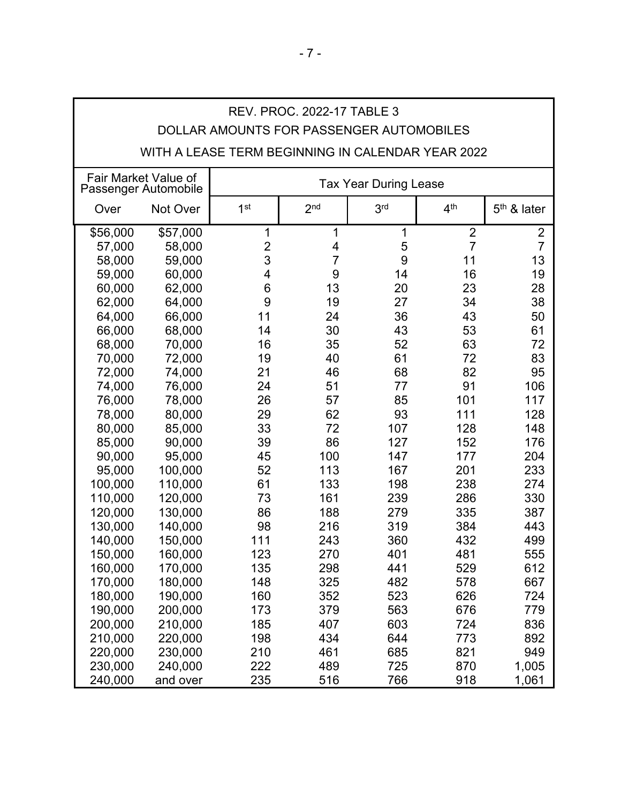| DOLLAR AMOUNTS FOR PASSENGER AUTOMOBILES<br>WITH A LEASE TERM BEGINNING IN CALENDAR YEAR 2022 |                                              |                              |                 |                 |                 |                |
|-----------------------------------------------------------------------------------------------|----------------------------------------------|------------------------------|-----------------|-----------------|-----------------|----------------|
|                                                                                               | Fair Market Value of<br>Passenger Automobile | <b>Tax Year During Lease</b> |                 |                 |                 |                |
| Over                                                                                          | Not Over                                     | 1 <sup>st</sup>              | 2 <sub>nd</sub> | 3 <sup>rd</sup> | 4 <sup>th</sup> | $5th$ & later  |
| \$56,000                                                                                      | \$57,000                                     | $\mathbf{1}$                 | 1               | $\mathbf 1$     | $\overline{2}$  | $\overline{2}$ |
| 57,000                                                                                        | 58,000                                       | $\overline{c}$               | 4               | 5               | $\overline{7}$  | $\overline{7}$ |
| 58,000                                                                                        | 59,000                                       | 3                            | $\overline{7}$  | 9               | 11              | 13             |
| 59,000                                                                                        | 60,000                                       | 4                            | 9               | 14              | 16              | 19             |
| 60,000                                                                                        | 62,000                                       | $6\phantom{1}6$              | 13              | 20              | 23              | 28             |
| 62,000                                                                                        | 64,000                                       | 9                            | 19              | 27              | 34              | 38             |
| 64,000                                                                                        | 66,000                                       | 11                           | 24              | 36              | 43              | 50             |
| 66,000                                                                                        | 68,000                                       | 14                           | 30              | 43              | 53              | 61             |
| 68,000                                                                                        | 70,000                                       | 16                           | 35              | 52              | 63              | 72             |
| 70,000                                                                                        | 72,000                                       | 19                           | 40              | 61              | 72              | 83             |
| 72,000                                                                                        | 74,000                                       | 21                           | 46              | 68              | 82              | 95             |
| 74,000                                                                                        | 76,000                                       | 24                           | 51              | 77              | 91              | 106            |
| 76,000                                                                                        | 78,000                                       | 26                           | 57              | 85              | 101             | 117            |
| 78,000                                                                                        | 80,000                                       | 29                           | 62              | 93              | 111             | 128            |
| 80,000                                                                                        | 85,000                                       | 33                           | 72              | 107             | 128             | 148            |
| 85,000                                                                                        | 90,000                                       | 39                           | 86              | 127             | 152             | 176            |
| 90,000                                                                                        | 95,000                                       | 45                           | 100             | 147             | 177             | 204            |
| 95,000                                                                                        | 100,000                                      | 52                           | 113             | 167             | 201             | 233            |
| 100,000                                                                                       | 110,000                                      | 61                           | 133             | 198             | 238             | 274            |
| 110,000                                                                                       | 120,000                                      | 73                           | 161             | 239             | 286             | 330            |
| 120,000                                                                                       | 130,000                                      | 86                           | 188             | 279             | 335             | 387            |
| 130,000                                                                                       | 140,000                                      | 98                           | 216             | 319             | 384             | 443            |
| 140,000                                                                                       | 150,000                                      | 111                          | 243             | 360             | 432             | 499            |
| 150,000                                                                                       | 160,000                                      | 123                          | 270             | 401             | 481             | 555            |
| 160,000                                                                                       | 170,000                                      | 135                          | 298             | 441             | 529             | 612            |
| 170,000                                                                                       | 180,000                                      | 148                          | 325             | 482             | 578             | 667            |
| 180,000                                                                                       | 190,000                                      | 160                          | 352             | 523             | 626             | 724            |
| 190,000                                                                                       | 200,000                                      | 173                          | 379             | 563             | 676             | 779            |
| 200,000                                                                                       | 210,000                                      | 185                          | 407             | 603             | 724             | 836            |
| 210,000                                                                                       | 220,000                                      | 198                          | 434             | 644             | 773             | 892            |
| 220,000                                                                                       | 230,000                                      | 210                          | 461             | 685             | 821             | 949            |
| 230,000                                                                                       | 240,000                                      | 222                          | 489             | 725             | 870             | 1,005          |
| 240,000                                                                                       | and over                                     | 235                          | 516             | 766             | 918             | 1,061          |

# REV. PROC. 2022-17 TABLE 3